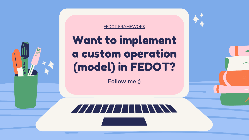### Want to implement a custom operation (model) in FEDOT?

#### FEDOT [FRAMEWORK](https://github.com/nccr-itmo/FEDOT)

**Follow me ;)**





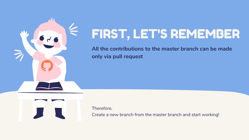

## FIRST, LET'S REMEMBER

#### **All the contributions to the master branch can be made**

**only via pull request**

Therefore, Create a new branch from the master branch and start working!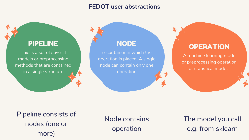#### **FEDOT user abstractions**

#### PIPELINE

This is a set of several models or preprocessing methods that are contained in a single structure

#### NODE

A container in which the operation is placed. A single node can contain only one operation

Pipeline consists of nodes (one or more)

Node contains operation

#### **OPERATION**

A machine learning model or preprocessing operation or statistical models

The model you call e.g. from sklearn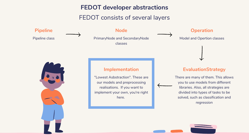#### **Operation**

Model and Opertion classes

**Pipeline**

Pipeline class

#### **Node**

PrimaryNode and SecondaryNode classes

### FEDOT consists of several layers **FEDOT developer abstractions**

#### **EvaluationStrategy**

There are many of them. This allows you to use models from different libraries. Also, all strategies are divided into types of tasks to be solved, such as classification and regression

#### **Implementation**

"Lowest Asbstraction". These are our models and preprocessing realisations. If you want to implement your own, you're right here.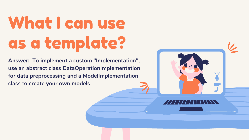# What I can use as a template?

**Answer: To implement a custom "Implementation" , use an abstract class DataOperationImplementation for data preprocessing and a ModelImplementation class to create your own models**

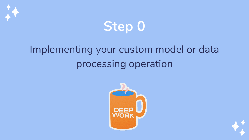

### Implementing your custom model or data processing operation



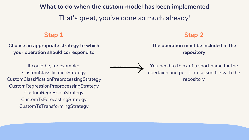**What to do when the custom model has been implemented** That's great, you've done so much already!

#### **Step 1**

**Choose an appropriate strategy to which your operation should correspond to**

It could be, for example: CustomClassificationStrategy CustomClassificationPreprocessingStrategy CustomRegressionPreprocessingStrategy CustomRegressionStrategy CustomTsForecastingStrategy CustomTsTransformingStrategy

#### **Step 2**

#### **The operation must be included in the repository**

You need to think of a short name for the opertaion and put it into a json file with the repository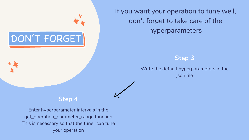If you want your operation to tune well, don't forget to take care of the hyperparameters

### DON'T FORGET

#### **Step 3**

Write the default hyperparameters in the json file

**Step 4**

Enter hyperparameter intervals in the get\_operation\_parameter\_range function This is necessary so that the tuner can tune your operation